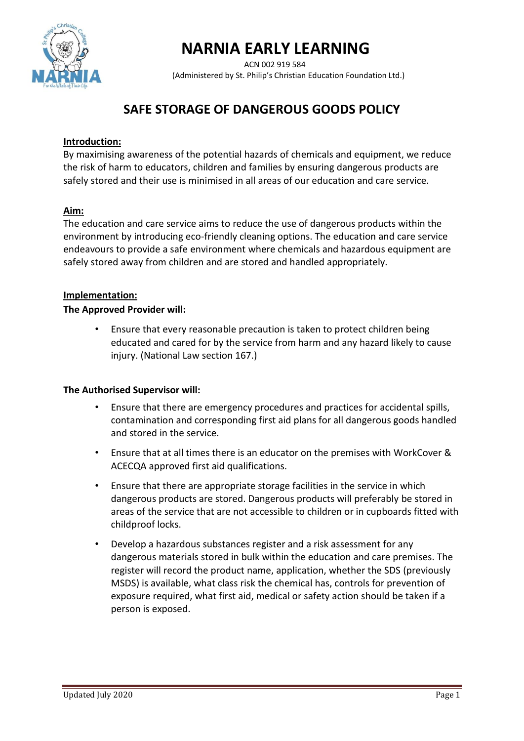

# **NARNIA EARLY LEARNING**

 ACN 002 919 584 (Administered by St. Philip's Christian Education Foundation Ltd.)

# **SAFE STORAGE OF DANGEROUS GOODS POLICY**

# **Introduction:**

By maximising awareness of the potential hazards of chemicals and equipment, we reduce the risk of harm to educators, children and families by ensuring dangerous products are safely stored and their use is minimised in all areas of our education and care service.

### **Aim:**

The education and care service aims to reduce the use of dangerous products within the environment by introducing eco-friendly cleaning options. The education and care service endeavours to provide a safe environment where chemicals and hazardous equipment are safely stored away from children and are stored and handled appropriately.

#### **Implementation:**

#### **The Approved Provider will:**

• Ensure that every reasonable precaution is taken to protect children being educated and cared for by the service from harm and any hazard likely to cause injury. (National Law section 167.)

#### **The Authorised Supervisor will:**

- Ensure that there are emergency procedures and practices for accidental spills, contamination and corresponding first aid plans for all dangerous goods handled and stored in the service.
- Ensure that at all times there is an educator on the premises with WorkCover & ACECQA approved first aid qualifications.
- Ensure that there are appropriate storage facilities in the service in which dangerous products are stored. Dangerous products will preferably be stored in areas of the service that are not accessible to children or in cupboards fitted with childproof locks.
- Develop a hazardous substances register and a risk assessment for any dangerous materials stored in bulk within the education and care premises. The register will record the product name, application, whether the SDS (previously MSDS) is available, what class risk the chemical has, controls for prevention of exposure required, what first aid, medical or safety action should be taken if a person is exposed.